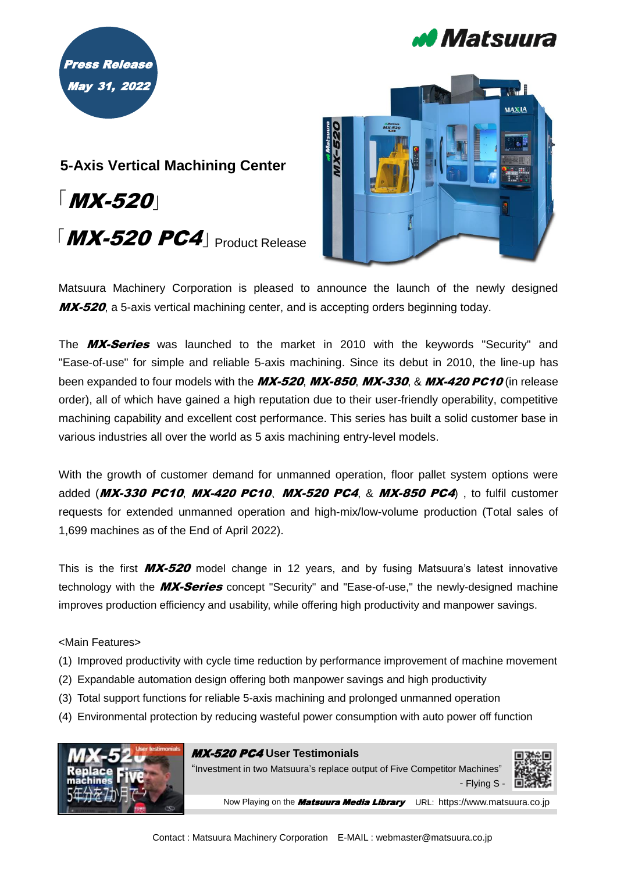



 $\lceil$  **MX-520 PC4**]  $_{\text{Product Release}}$ **5-Axis Vertical Machining Center** 「MX-520」



Matsuura Machinery Corporation is pleased to announce the launch of the newly designed **MX-520**, a 5-axis vertical machining center, and is accepting orders beginning today.

The **MX-Series** was launched to the market in 2010 with the keywords "Security" and "Ease-of-use" for simple and reliable 5-axis machining. Since its debut in 2010, the line-up has been expanded to four models with the MX-520, MX-850, MX-330, & MX-420 PC10 (in release order), all of which have gained a high reputation due to their user-friendly operability, competitive machining capability and excellent cost performance. This series has built a solid customer base in various industries all over the world as 5 axis machining entry-level models.

With the growth of customer demand for unmanned operation, floor pallet system options were added ( $MX-330$  PC10,  $MX-420$  PC10,  $MX-520$  PC4, &  $MX-850$  PC4), to fulfil customer requests for extended unmanned operation and high-mix/low-volume production (Total sales of 1,699 machines as of the End of April 2022).

This is the first  $MX-520$  model change in 12 years, and by fusing Matsuura's latest innovative technology with the **MX-Series** concept "Security" and "Ease-of-use," the newly-designed machine improves production efficiency and usability, while offering high productivity and manpower savings.

## <Main Features>

- (1) Improved productivity with cycle time reduction by performance improvement of machine movement
- (2) Expandable automation design offering both manpower savings and high productivity
- (3) Total support functions for reliable 5-axis machining and prolonged unmanned operation
- (4) Environmental protection by reducing wasteful power consumption with auto power off function

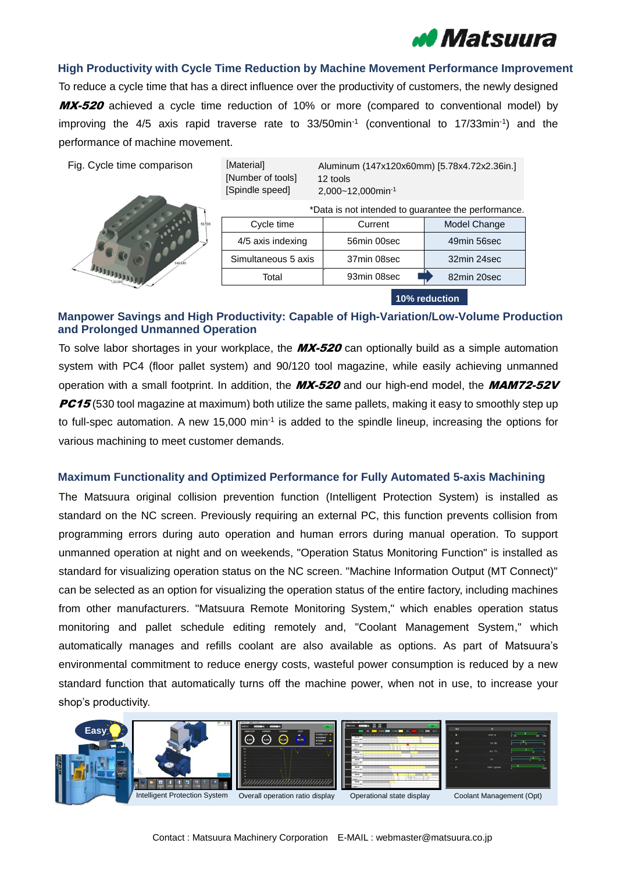

To reduce a cycle time that has a direct influence over the productivity of customers, the newly designed MX-520 achieved a cycle time reduction of 10% or more (compared to conventional model) by improving the 4/5 axis rapid traverse rate to 33/50min<sup>-1</sup> (conventional to 17/33min<sup>-1</sup>) and the performance of machine movement. **High Productivity with Cycle Time Reduction by Machine Movement Performance Improvement**





| <u>i</u> iviateriali |  |
|----------------------|--|
| [Number of tools]    |  |
| [Spindle speed]      |  |

[Material]

12 tools 2,000~12,000min-1 Aluminum (147x120x60mm) [5.78x4.72x2.36in.]

| *Data is not intended to guarantee the performance. |             |              |  |  |  |
|-----------------------------------------------------|-------------|--------------|--|--|--|
| Cycle time                                          | Current     | Model Change |  |  |  |
| 4/5 axis indexing                                   | 56min 00sec | 49min 56sec  |  |  |  |
| Simultaneous 5 axis                                 | 37min 08sec | 32min 24sec  |  |  |  |
| Total                                               | 93min 08sec | 82min 20sec  |  |  |  |

**10% reduction**

## **Manpower Savings and High Productivity: Capable of High-Variation/Low-Volume Production and Prolonged Unmanned Operation**

To solve labor shortages in your workplace, the  $M\chi$ -520 can optionally build as a simple automation system with PC4 (floor pallet system) and 90/120 tool magazine, while easily achieving unmanned operation with a small footprint. In addition, the  $MX-520$  and our high-end model, the  $MAM72-52V$ **PC15** (530 tool magazine at maximum) both utilize the same pallets, making it easy to smoothly step up to full-spec automation. A new 15,000 min<sup>-1</sup> is added to the spindle lineup, increasing the options for various machining to meet customer demands.

## **Maximum Functionality and Optimized Performance for Fully Automated 5-axis Machining**

The Matsuura original collision prevention function (Intelligent Protection System) is installed as standard on the NC screen. Previously requiring an external PC, this function prevents collision from programming errors during auto operation and human errors during manual operation. To support unmanned operation at night and on weekends, "Operation Status Monitoring Function" is installed as standard for visualizing operation status on the NC screen. "Machine Information Output (MT Connect)" can be selected as an option for visualizing the operation status of the entire factory, including machines from other manufacturers. "Matsuura Remote Monitoring System," which enables operation status monitoring and pallet schedule editing remotely and, "Coolant Management System," which automatically manages and refills coolant are also available as options. As part of Matsuura's environmental commitment to reduce energy costs, wasteful power consumption is reduced by a new standard function that automatically turns off the machine power, when not in use, to increase your shop's productivity.